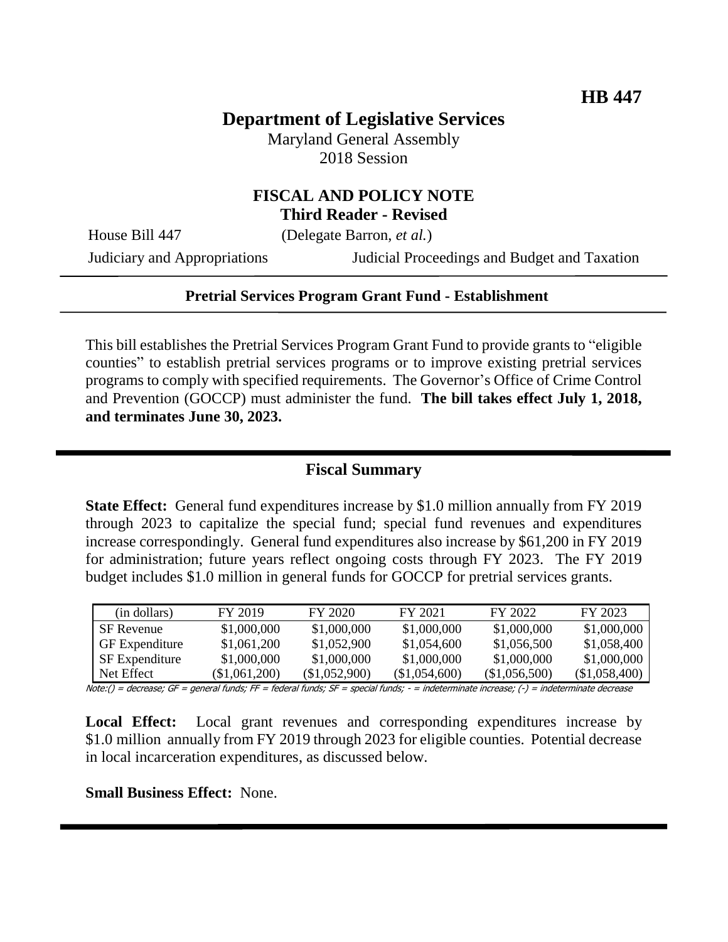# **Department of Legislative Services**

Maryland General Assembly 2018 Session

### **FISCAL AND POLICY NOTE Third Reader - Revised**

House Bill 447 (Delegate Barron, *et al.*)

Judiciary and Appropriations Judicial Proceedings and Budget and Taxation

### **Pretrial Services Program Grant Fund - Establishment**

This bill establishes the Pretrial Services Program Grant Fund to provide grants to "eligible counties" to establish pretrial services programs or to improve existing pretrial services programs to comply with specified requirements. The Governor's Office of Crime Control and Prevention (GOCCP) must administer the fund. **The bill takes effect July 1, 2018, and terminates June 30, 2023.** 

## **Fiscal Summary**

**State Effect:** General fund expenditures increase by \$1.0 million annually from FY 2019 through 2023 to capitalize the special fund; special fund revenues and expenditures increase correspondingly. General fund expenditures also increase by \$61,200 in FY 2019 for administration; future years reflect ongoing costs through FY 2023. The FY 2019 budget includes \$1.0 million in general funds for GOCCP for pretrial services grants.

| (in dollars)          | FY 2019       | FY 2020       | FY 2021       | FY 2022       | FY 2023       |
|-----------------------|---------------|---------------|---------------|---------------|---------------|
| <b>SF</b> Revenue     | \$1,000,000   | \$1,000,000   | \$1,000,000   | \$1,000,000   | \$1,000,000   |
| <b>GF</b> Expenditure | \$1,061,200   | \$1,052,900   | \$1,054,600   | \$1,056,500   | \$1,058,400   |
| <b>SF</b> Expenditure | \$1,000,000   | \$1,000,000   | \$1,000,000   | \$1,000,000   | \$1,000,000   |
| Net Effect            | (\$1.061.200) | (\$1,052,900) | (\$1,054,600) | (\$1,056,500) | (\$1,058,400) |

Note:() = decrease; GF = general funds; FF = federal funds; SF = special funds; - = indeterminate increase; (-) = indeterminate decrease

**Local Effect:** Local grant revenues and corresponding expenditures increase by \$1.0 million annually from FY 2019 through 2023 for eligible counties. Potential decrease in local incarceration expenditures, as discussed below.

**Small Business Effect:** None.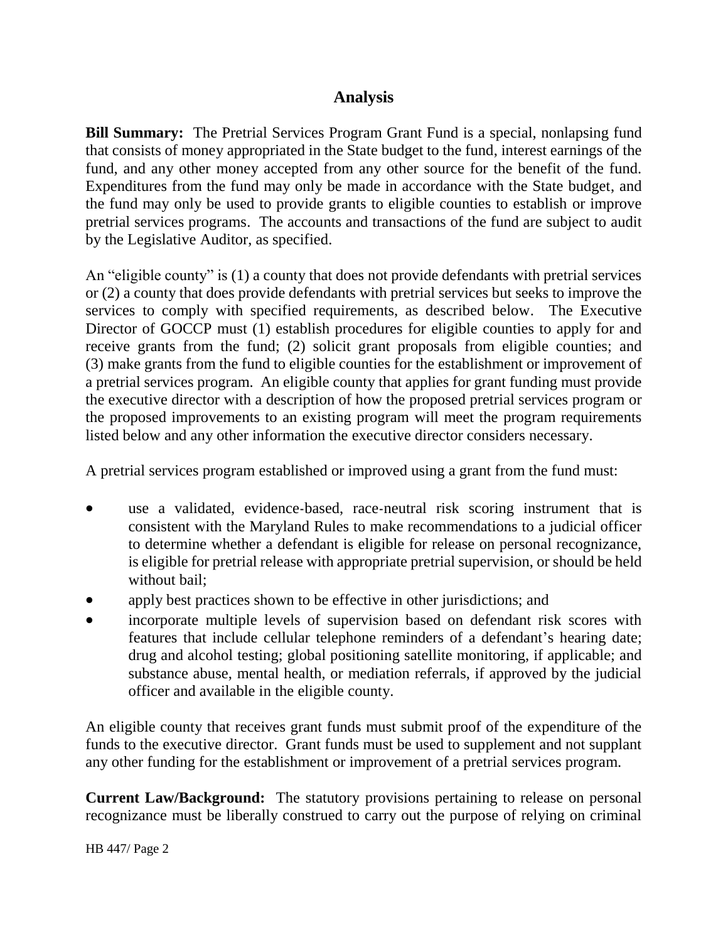# **Analysis**

**Bill Summary:** The Pretrial Services Program Grant Fund is a special, nonlapsing fund that consists of money appropriated in the State budget to the fund, interest earnings of the fund, and any other money accepted from any other source for the benefit of the fund. Expenditures from the fund may only be made in accordance with the State budget, and the fund may only be used to provide grants to eligible counties to establish or improve pretrial services programs. The accounts and transactions of the fund are subject to audit by the Legislative Auditor, as specified.

An "eligible county" is (1) a county that does not provide defendants with pretrial services or (2) a county that does provide defendants with pretrial services but seeks to improve the services to comply with specified requirements, as described below. The Executive Director of GOCCP must (1) establish procedures for eligible counties to apply for and receive grants from the fund; (2) solicit grant proposals from eligible counties; and (3) make grants from the fund to eligible counties for the establishment or improvement of a pretrial services program. An eligible county that applies for grant funding must provide the executive director with a description of how the proposed pretrial services program or the proposed improvements to an existing program will meet the program requirements listed below and any other information the executive director considers necessary.

A pretrial services program established or improved using a grant from the fund must:

- use a validated, evidence-based, race-neutral risk scoring instrument that is consistent with the Maryland Rules to make recommendations to a judicial officer to determine whether a defendant is eligible for release on personal recognizance, is eligible for pretrial release with appropriate pretrial supervision, or should be held without bail;
- apply best practices shown to be effective in other jurisdictions; and
- incorporate multiple levels of supervision based on defendant risk scores with features that include cellular telephone reminders of a defendant's hearing date; drug and alcohol testing; global positioning satellite monitoring, if applicable; and substance abuse, mental health, or mediation referrals, if approved by the judicial officer and available in the eligible county.

An eligible county that receives grant funds must submit proof of the expenditure of the funds to the executive director. Grant funds must be used to supplement and not supplant any other funding for the establishment or improvement of a pretrial services program.

**Current Law/Background:** The statutory provisions pertaining to release on personal recognizance must be liberally construed to carry out the purpose of relying on criminal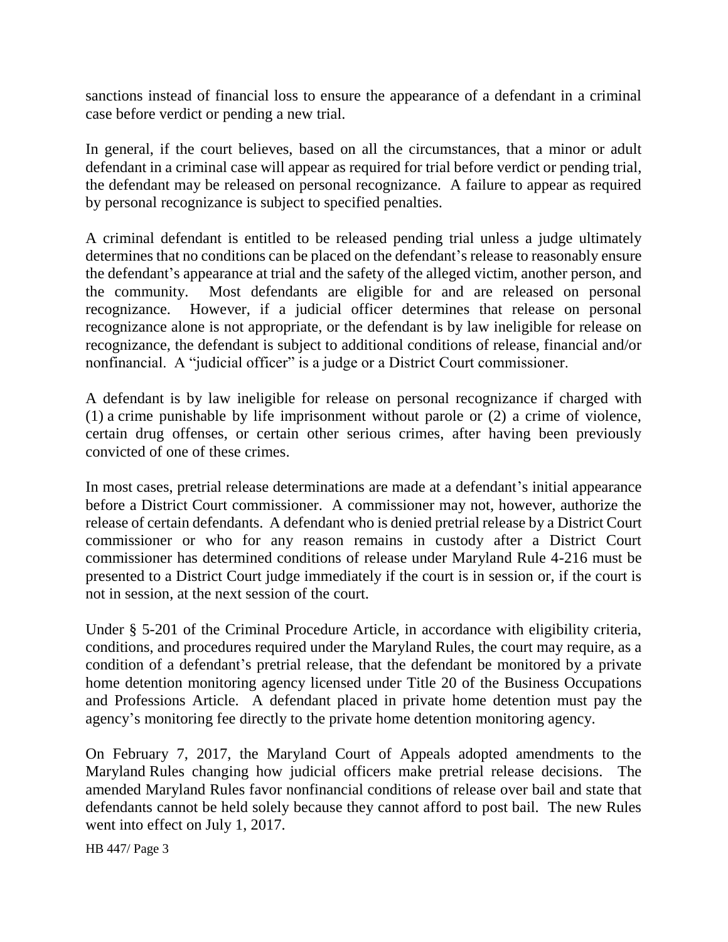sanctions instead of financial loss to ensure the appearance of a defendant in a criminal case before verdict or pending a new trial.

In general, if the court believes, based on all the circumstances, that a minor or adult defendant in a criminal case will appear as required for trial before verdict or pending trial, the defendant may be released on personal recognizance. A failure to appear as required by personal recognizance is subject to specified penalties.

A criminal defendant is entitled to be released pending trial unless a judge ultimately determines that no conditions can be placed on the defendant's release to reasonably ensure the defendant's appearance at trial and the safety of the alleged victim, another person, and the community. Most defendants are eligible for and are released on personal recognizance. However, if a judicial officer determines that release on personal recognizance alone is not appropriate, or the defendant is by law ineligible for release on recognizance, the defendant is subject to additional conditions of release, financial and/or nonfinancial. A "judicial officer" is a judge or a District Court commissioner.

A defendant is by law ineligible for release on personal recognizance if charged with (1) a crime punishable by life imprisonment without parole or (2) a crime of violence, certain drug offenses, or certain other serious crimes, after having been previously convicted of one of these crimes.

In most cases, pretrial release determinations are made at a defendant's initial appearance before a District Court commissioner. A commissioner may not, however, authorize the release of certain defendants. A defendant who is denied pretrial release by a District Court commissioner or who for any reason remains in custody after a District Court commissioner has determined conditions of release under Maryland Rule 4-216 must be presented to a District Court judge immediately if the court is in session or, if the court is not in session, at the next session of the court.

Under § 5-201 of the Criminal Procedure Article, in accordance with eligibility criteria, conditions, and procedures required under the Maryland Rules, the court may require, as a condition of a defendant's pretrial release, that the defendant be monitored by a private home detention monitoring agency licensed under Title 20 of the Business Occupations and Professions Article. A defendant placed in private home detention must pay the agency's monitoring fee directly to the private home detention monitoring agency.

On February 7, 2017, the Maryland Court of Appeals adopted amendments to the Maryland Rules changing how judicial officers make pretrial release decisions. The amended Maryland Rules favor nonfinancial conditions of release over bail and state that defendants cannot be held solely because they cannot afford to post bail. The new Rules went into effect on July 1, 2017.

HB 447/ Page 3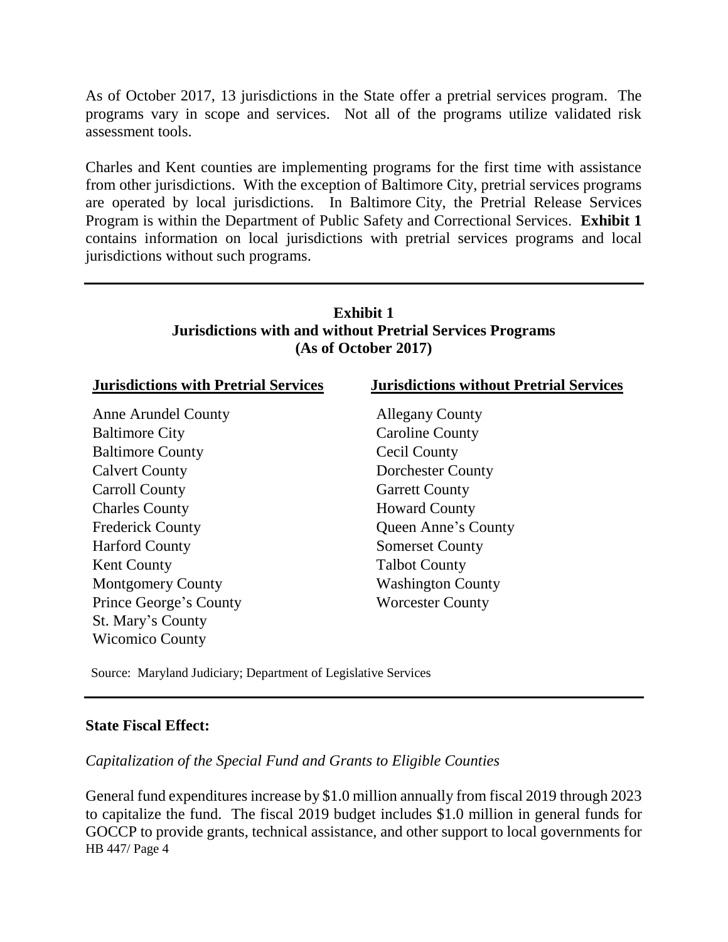As of October 2017, 13 jurisdictions in the State offer a pretrial services program. The programs vary in scope and services. Not all of the programs utilize validated risk assessment tools.

Charles and Kent counties are implementing programs for the first time with assistance from other jurisdictions. With the exception of Baltimore City, pretrial services programs are operated by local jurisdictions. In Baltimore City, the Pretrial Release Services Program is within the Department of Public Safety and Correctional Services. **Exhibit 1** contains information on local jurisdictions with pretrial services programs and local jurisdictions without such programs.

# **Exhibit 1 Jurisdictions with and without Pretrial Services Programs (As of October 2017)**

| <b>Jurisdictions with Pretrial Services</b> | <b>Jurisdictions without Pretrial Services</b> |  |  |
|---------------------------------------------|------------------------------------------------|--|--|
| Anne Arundel County                         | <b>Allegany County</b>                         |  |  |
| <b>Baltimore City</b>                       | <b>Caroline County</b>                         |  |  |
| <b>Baltimore County</b>                     | Cecil County                                   |  |  |
| <b>Calvert County</b>                       | <b>Dorchester County</b>                       |  |  |
| Carroll County                              | <b>Garrett County</b>                          |  |  |
| <b>Charles County</b>                       | <b>Howard County</b>                           |  |  |
| <b>Frederick County</b>                     | Queen Anne's County                            |  |  |
| <b>Harford County</b>                       | <b>Somerset County</b>                         |  |  |
| <b>Kent County</b>                          | <b>Talbot County</b>                           |  |  |
| <b>Montgomery County</b>                    | <b>Washington County</b>                       |  |  |
| Prince George's County                      | <b>Worcester County</b>                        |  |  |
| St. Mary's County                           |                                                |  |  |
| <b>Wicomico County</b>                      |                                                |  |  |

Source: Maryland Judiciary; Department of Legislative Services

#### **State Fiscal Effect:**

*Capitalization of the Special Fund and Grants to Eligible Counties* 

HB 447/ Page 4 General fund expenditures increase by \$1.0 million annually from fiscal 2019 through 2023 to capitalize the fund. The fiscal 2019 budget includes \$1.0 million in general funds for GOCCP to provide grants, technical assistance, and other support to local governments for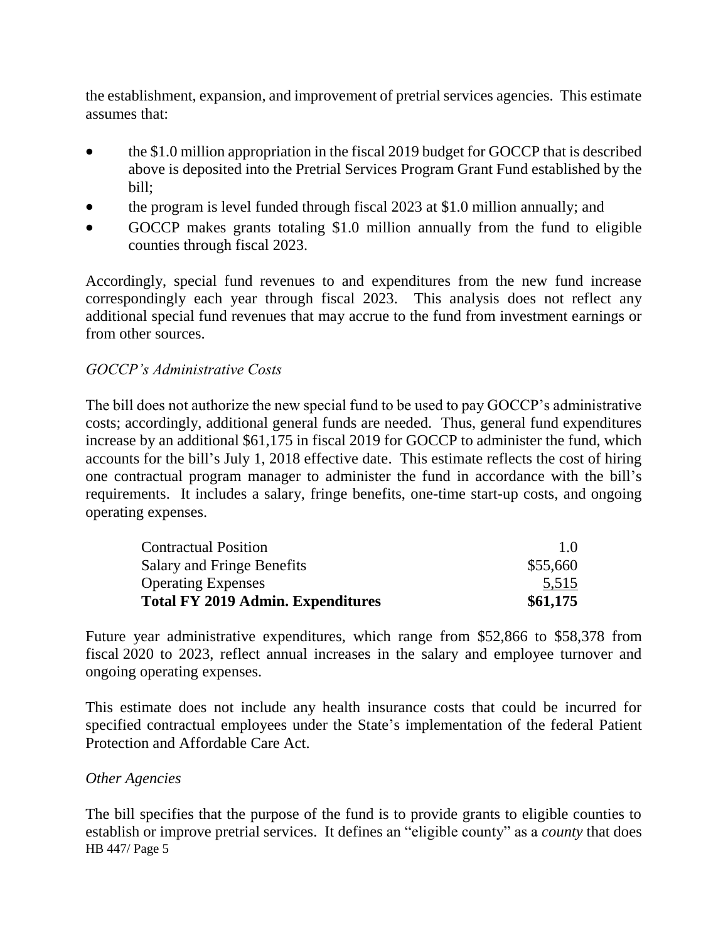the establishment, expansion, and improvement of pretrial services agencies. This estimate assumes that:

- the \$1.0 million appropriation in the fiscal 2019 budget for GOCCP that is described above is deposited into the Pretrial Services Program Grant Fund established by the bill;
- the program is level funded through fiscal 2023 at \$1.0 million annually; and
- GOCCP makes grants totaling \$1.0 million annually from the fund to eligible counties through fiscal 2023.

Accordingly, special fund revenues to and expenditures from the new fund increase correspondingly each year through fiscal 2023. This analysis does not reflect any additional special fund revenues that may accrue to the fund from investment earnings or from other sources.

### *GOCCP's Administrative Costs*

The bill does not authorize the new special fund to be used to pay GOCCP's administrative costs; accordingly, additional general funds are needed. Thus, general fund expenditures increase by an additional \$61,175 in fiscal 2019 for GOCCP to administer the fund, which accounts for the bill's July 1, 2018 effective date. This estimate reflects the cost of hiring one contractual program manager to administer the fund in accordance with the bill's requirements. It includes a salary, fringe benefits, one-time start-up costs, and ongoing operating expenses.

| <b>Contractual Position</b>              | 10       |
|------------------------------------------|----------|
| Salary and Fringe Benefits               | \$55,660 |
| <b>Operating Expenses</b>                | 5,515    |
| <b>Total FY 2019 Admin. Expenditures</b> | \$61,175 |

Future year administrative expenditures, which range from \$52,866 to \$58,378 from fiscal 2020 to 2023, reflect annual increases in the salary and employee turnover and ongoing operating expenses.

This estimate does not include any health insurance costs that could be incurred for specified contractual employees under the State's implementation of the federal Patient Protection and Affordable Care Act.

### *Other Agencies*

HB 447/ Page 5 The bill specifies that the purpose of the fund is to provide grants to eligible counties to establish or improve pretrial services. It defines an "eligible county" as a *county* that does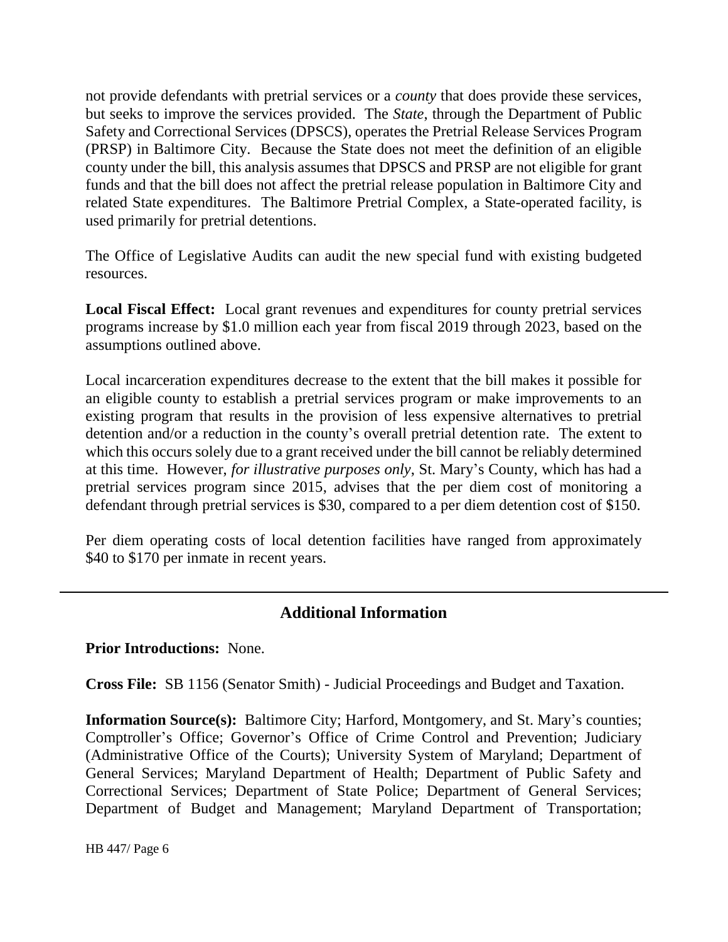not provide defendants with pretrial services or a *county* that does provide these services, but seeks to improve the services provided. The *State*, through the Department of Public Safety and Correctional Services (DPSCS), operates the Pretrial Release Services Program (PRSP) in Baltimore City. Because the State does not meet the definition of an eligible county under the bill, this analysis assumes that DPSCS and PRSP are not eligible for grant funds and that the bill does not affect the pretrial release population in Baltimore City and related State expenditures. The Baltimore Pretrial Complex, a State-operated facility, is used primarily for pretrial detentions.

The Office of Legislative Audits can audit the new special fund with existing budgeted resources.

**Local Fiscal Effect:** Local grant revenues and expenditures for county pretrial services programs increase by \$1.0 million each year from fiscal 2019 through 2023, based on the assumptions outlined above.

Local incarceration expenditures decrease to the extent that the bill makes it possible for an eligible county to establish a pretrial services program or make improvements to an existing program that results in the provision of less expensive alternatives to pretrial detention and/or a reduction in the county's overall pretrial detention rate. The extent to which this occurs solely due to a grant received under the bill cannot be reliably determined at this time. However, *for illustrative purposes only*, St. Mary's County, which has had a pretrial services program since 2015, advises that the per diem cost of monitoring a defendant through pretrial services is \$30, compared to a per diem detention cost of \$150.

Per diem operating costs of local detention facilities have ranged from approximately \$40 to \$170 per inmate in recent years.

## **Additional Information**

**Prior Introductions:** None.

**Cross File:** SB 1156 (Senator Smith) - Judicial Proceedings and Budget and Taxation.

**Information Source(s):** Baltimore City; Harford, Montgomery, and St. Mary's counties; Comptroller's Office; Governor's Office of Crime Control and Prevention; Judiciary (Administrative Office of the Courts); University System of Maryland; Department of General Services; Maryland Department of Health; Department of Public Safety and Correctional Services; Department of State Police; Department of General Services; Department of Budget and Management; Maryland Department of Transportation;